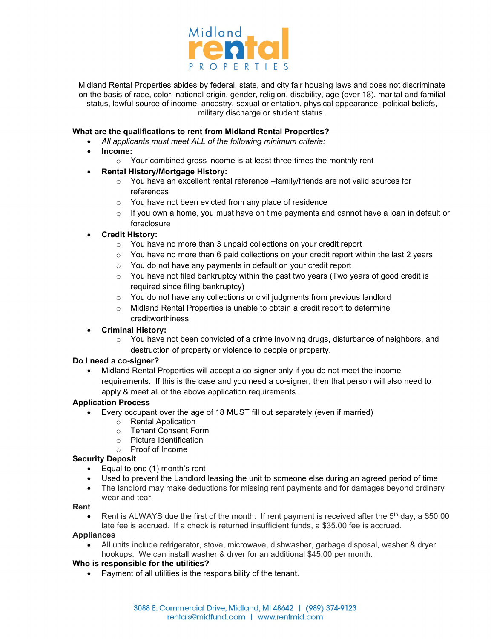

Midland Rental Properties abides by federal, state, and city fair housing laws and does not discriminate on the basis of race, color, national origin, gender, religion, disability, age (over 18), marital and familial status, lawful source of income, ancestry, sexual orientation, physical appearance, political beliefs, military discharge or student status.

# **What are the qualifications to rent from Midland Rental Properties?**

- *All applicants must meet ALL of the following minimum criteria:*
- **Income:**
	- o Your combined gross income is at least three times the monthly rent

# **Rental History/Mortgage History:**

- $\circ$  You have an excellent rental reference –family/friends are not valid sources for references
- o You have not been evicted from any place of residence
- $\circ$  If you own a home, you must have on time payments and cannot have a loan in default or foreclosure

# **Credit History:**

- o You have no more than 3 unpaid collections on your credit report
- $\circ$  You have no more than 6 paid collections on your credit report within the last 2 years
- $\circ$  You do not have any payments in default on your credit report
- $\circ$  You have not filed bankruptcy within the past two years (Two years of good credit is required since filing bankruptcy)
- $\circ$  You do not have any collections or civil judgments from previous landlord
- o Midland Rental Properties is unable to obtain a credit report to determine creditworthiness

#### **Criminal History:**

 $\circ$  You have not been convicted of a crime involving drugs, disturbance of neighbors, and destruction of property or violence to people or property.

#### **Do I need a co-signer?**

 Midland Rental Properties will accept a co-signer only if you do not meet the income requirements. If this is the case and you need a co-signer, then that person will also need to apply & meet all of the above application requirements.

### **Application Process**

- Every occupant over the age of 18 MUST fill out separately (even if married)
	- o Rental Application
		- o Tenant Consent Form
		- o Picture Identification
		- o Proof of Income

#### **Security Deposit**

- Equal to one (1) month's rent
- Used to prevent the Landlord leasing the unit to someone else during an agreed period of time
- The landlord may make deductions for missing rent payments and for damages beyond ordinary wear and tear.

#### **Rent**

• Rent is ALWAYS due the first of the month. If rent payment is received after the 5<sup>th</sup> day, a \$50.00 late fee is accrued. If a check is returned insufficient funds, a \$35.00 fee is accrued.

#### **Appliances**

 All units include refrigerator, stove, microwave, dishwasher, garbage disposal, washer & dryer hookups. We can install washer & dryer for an additional \$45.00 per month.

# **Who is responsible for the utilities?**

Payment of all utilities is the responsibility of the tenant.